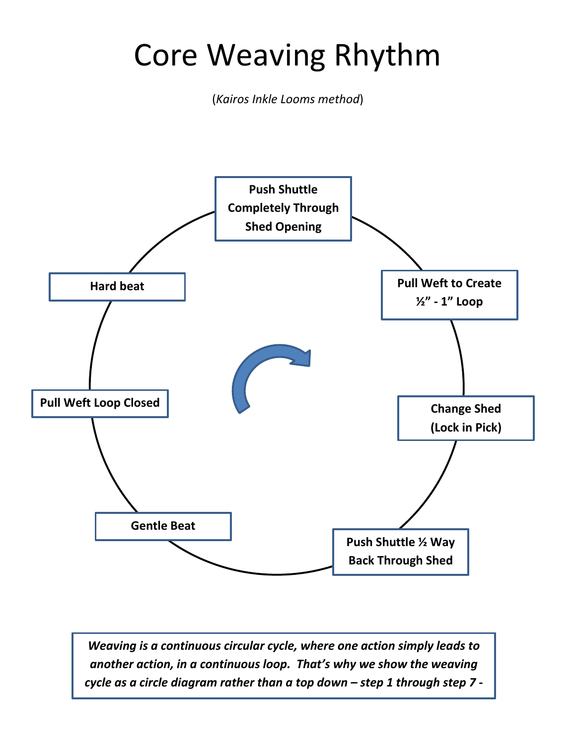# Core Weaving Rhythm

(*Kairos Inkle Looms method*)



*Weaving is a continuous circular cycle, where one action simply leads to another action, in a continuous loop. That's why we show the weaving cycle as a circle diagram rather than a top down – step 1 through step 7 -*

*series of steps.*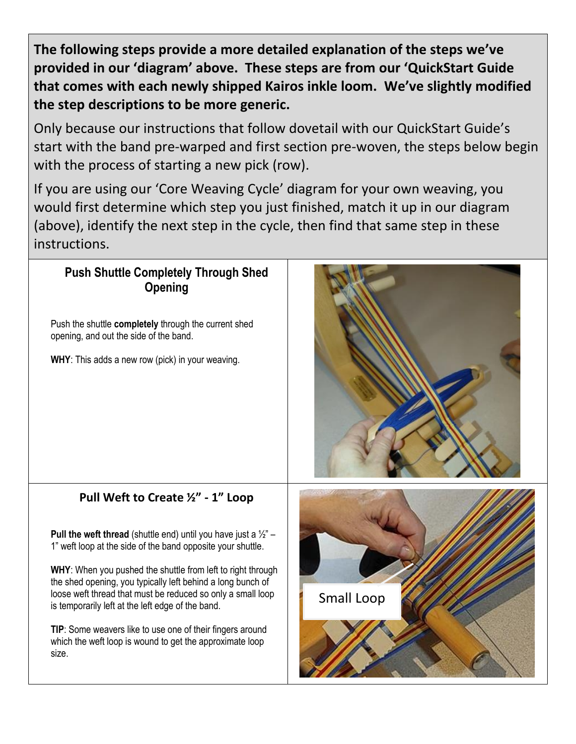**The following steps provide a more detailed explanation of the steps we've provided in our 'diagram' above. These steps are from our 'QuickStart Guide that comes with each newly shipped Kairos inkle loom. We've slightly modified the step descriptions to be more generic.**

Only because our instructions that follow dovetail with our QuickStart Guide's start with the band pre-warped and first section pre-woven, the steps below begin with the process of starting a new pick (row).

If you are using our 'Core Weaving Cycle' diagram for your own weaving, you would first determine which step you just finished, match it up in our diagram (above), identify the next step in the cycle, then find that same step in these instructions.

### **Push Shuttle Completely Through Shed Opening**

Push the shuttle **completely** through the current shed opening, and out the side of the band.

**WHY**: This adds a new row (pick) in your weaving.



## **Pull Weft to Create ½" - 1" Loop**

**Pull the weft thread** (shuttle end) until you have just a  $\frac{1}{2}$ " – 1" weft loop at the side of the band opposite your shuttle.

**WHY**: When you pushed the shuttle from left to right through the shed opening, you typically left behind a long bunch of loose weft thread that must be reduced so only a small loop is temporarily left at the left edge of the band.

**TIP**: Some weavers like to use one of their fingers around which the weft loop is wound to get the approximate loop size.

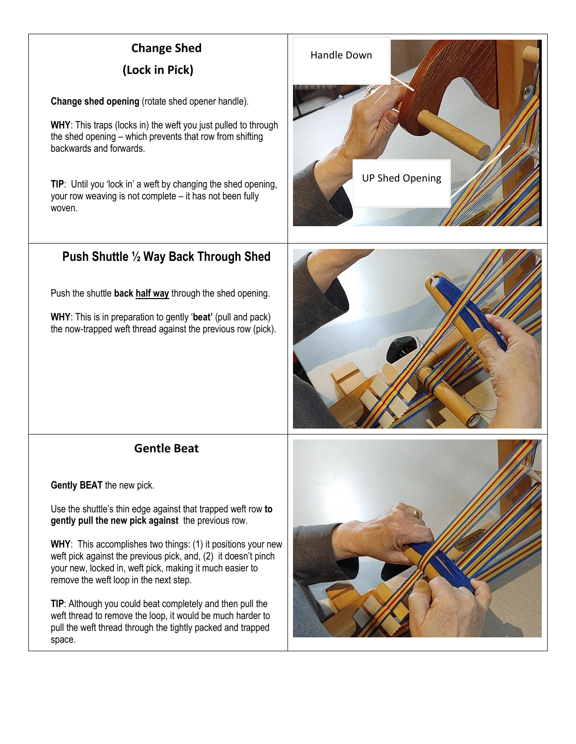## **Change Shed**

#### **(Lock in Pick)**

**Change shed opening** (rotate shed opener handle).

**WHY**: This traps (locks in) the weft you just pulled to through the shed opening – which prevents that row from shifting backwards and forwards.

**TIP:** Until you 'lock in' a weft by changing the shed opening, your row weaving is not complete – it has not been fully woven.

## **Push Shuttle ½ Way Back Through Shed**

Push the shuttle **back half way** through the shed opening.

**WHY**: This is in preparation to gently '**beat'** (pull and pack) the now-trapped weft thread against the previous row (pick).



#### **Gentle Beat**

**Gently BEAT** the new pick.

Use the shuttle's thin edge against that trapped weft row **to gently pull the new pick against** the previous row.

**WHY**: This accomplishes two things: (1) it positions your new weft pick against the previous pick, and, (2) it doesn't pinch your new, locked in, weft pick, making it much easier to remove the weft loop in the next step.

**TIP**: Although you could beat completely and then pull the weft thread to remove the loop, it would be much harder to pull the weft thread through the tightly packed and trapped space.